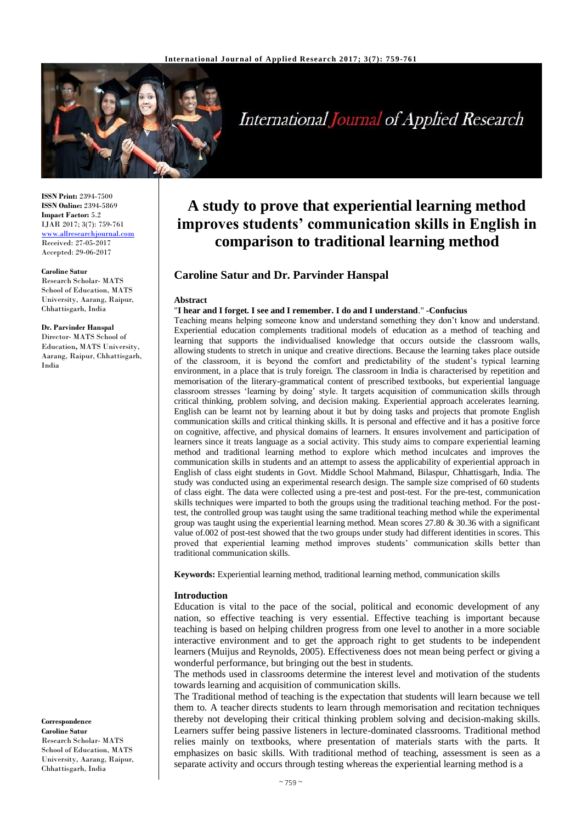

**International Journal of Applied Research** 

**ISSN Print:** 2394-7500 **ISSN Online:** 2394-5869 **Impact Factor:** 5.2 IJAR 2017; 3(7): 759-761 [www.allresearchjournal.com](http://www.allresearchjournal.com/) Received: 27-05-2017 Accepted: 29-06-2017

#### **Caroline Satur**

Research Scholar- MATS School of Education, MATS University, Aarang, Raipur, Chhattisgarh, India

**Dr. Parvinder Hanspal** Director- MATS School of Education**,** MATS University, Aarang, Raipur, Chhattisgarh, India

**Correspondence Caroline Satur**

Research Scholar- MATS School of Education, MATS University, Aarang, Raipur, Chhattisgarh, India

# **A study to prove that experiential learning method improves students' communication skills in English in comparison to traditional learning method**

# **Caroline Satur and Dr. Parvinder Hanspal**

#### **Abstract**

#### "**I hear and I forget. I see and I remember. I do and I understand**." **-Confucius**

Teaching means helping someone know and understand something they don't know and understand. Experiential education complements traditional models of education as a method of teaching and learning that supports the individualised knowledge that occurs outside the classroom walls, allowing students to stretch in unique and creative directions. Because the learning takes place outside of the classroom, it is beyond the comfort and predictability of the student's typical learning environment, in a place that is truly foreign. The classroom in India is characterised by repetition and memorisation of the literary-grammatical content of prescribed textbooks, but experiential language classroom stresses 'learning by doing' style. It targets acquisition of communication skills through critical thinking, problem solving, and decision making. Experiential approach accelerates learning. English can be learnt not by learning about it but by doing tasks and projects that promote English communication skills and critical thinking skills. It is personal and effective and it has a positive force on cognitive, affective, and physical domains of learners. It ensures involvement and participation of learners since it treats language as a social activity. This study aims to compare experiential learning method and traditional learning method to explore which method inculcates and improves the communication skills in students and an attempt to assess the applicability of experiential approach in English of class eight students in Govt. Middle School Mahmand, Bilaspur, Chhattisgarh, India. The study was conducted using an experimental research design. The sample size comprised of 60 students of class eight. The data were collected using a pre-test and post-test. For the pre-test, communication skills techniques were imparted to both the groups using the traditional teaching method. For the posttest, the controlled group was taught using the same traditional teaching method while the experimental group was taught using the experiential learning method. Mean scores 27.80 & 30.36 with a significant value of.002 of post-test showed that the two groups under study had different identities in scores. This proved that experiential learning method improves students' communication skills better than traditional communication skills.

**Keywords:** Experiential learning method, traditional learning method, communication skills

#### **Introduction**

Education is vital to the pace of the social, political and economic development of any nation, so effective teaching is very essential. Effective teaching is important because teaching is based on helping children progress from one level to another in a more sociable interactive environment and to get the approach right to get students to be independent learners (Muijus and Reynolds, 2005). Effectiveness does not mean being perfect or giving a wonderful performance, but bringing out the best in students.

The methods used in classrooms determine the interest level and motivation of the students towards learning and acquisition of communication skills.

The Traditional method of teaching is the expectation that students will learn because we tell them to. A teacher directs students to learn through memorisation and recitation techniques thereby not developing their critical thinking problem solving and decision-making skills. Learners suffer being passive listeners in lecture-dominated classrooms. Traditional method relies mainly on textbooks, where presentation of materials starts with the parts. It emphasizes on basic skills. With traditional method of teaching, assessment is seen as a separate activity and occurs through testing whereas the experiential learning method is a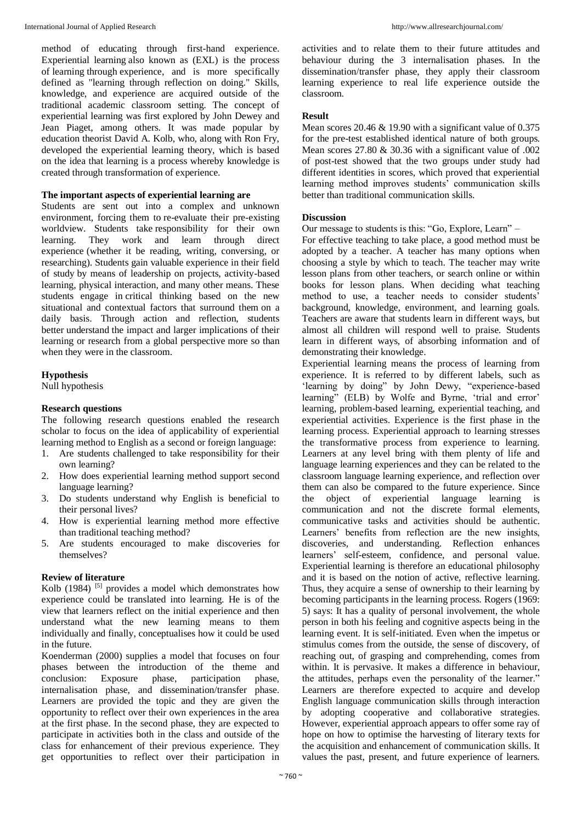method of educating through first-hand experience. Experiential learning also known as (EXL) is the process of learning through experience, and is more specifically defined as "learning through reflection on doing." Skills, knowledge, and experience are acquired outside of the traditional academic classroom setting. The concept of experiential learning was first explored by John Dewey and Jean Piaget, among others. It was made popular by education theorist David A. Kolb, who, along with Ron Fry, developed the experiential learning theory, which is based on the idea that learning is a process whereby knowledge is created through transformation of experience.

# **The important aspects of experiential learning are**

Students are sent out into a complex and unknown environment, forcing them to re-evaluate their pre-existing worldview. Students take responsibility for their own learning. They work and learn through direct experience (whether it be reading, writing, conversing, or researching). Students gain valuable experience in their field of study by means of leadership on projects, activity-based learning, physical interaction, and many other means. These students engage in critical thinking based on the new situational and contextual factors that surround them on a daily basis. Through action and reflection, students better understand the impact and larger implications of their learning or research from a global perspective more so than when they were in the classroom.

# **Hypothesis**

Null hypothesis

### **Research questions**

The following research questions enabled the research scholar to focus on the idea of applicability of experiential learning method to English as a second or foreign language:

- 1. Are students challenged to take responsibility for their own learning?
- 2. How does experiential learning method support second language learning?
- 3. Do students understand why English is beneficial to their personal lives?
- 4. How is experiential learning method more effective than traditional teaching method?
- 5. Are students encouraged to make discoveries for themselves?

# **Review of literature**

Kolb (1984)  $[5]$  provides a model which demonstrates how experience could be translated into learning. He is of the view that learners reflect on the initial experience and then understand what the new learning means to them individually and finally, conceptualises how it could be used in the future.

Koenderman (2000) supplies a model that focuses on four phases between the introduction of the theme and conclusion: Exposure phase, participation phase, internalisation phase, and dissemination/transfer phase. Learners are provided the topic and they are given the opportunity to reflect over their own experiences in the area at the first phase. In the second phase, they are expected to participate in activities both in the class and outside of the class for enhancement of their previous experience. They get opportunities to reflect over their participation in

activities and to relate them to their future attitudes and behaviour during the 3 internalisation phases. In the dissemination/transfer phase, they apply their classroom learning experience to real life experience outside the classroom.

## **Result**

Mean scores 20.46 & 19.90 with a significant value of 0.375 for the pre-test established identical nature of both groups. Mean scores 27.80 & 30.36 with a significant value of .002 of post-test showed that the two groups under study had different identities in scores, which proved that experiential learning method improves students' communication skills better than traditional communication skills.

## **Discussion**

Our message to students is this: "Go, Explore, Learn" –

For effective teaching to take place, a good method must be adopted by a teacher. A teacher has many options when choosing a style by which to teach. The teacher may write lesson plans from other teachers, or search online or within books for lesson plans. When deciding what teaching method to use, a teacher needs to consider students' background, knowledge, environment, and learning goals. Teachers are aware that students learn in different ways, but almost all children will respond well to praise. Students learn in different ways, of absorbing information and of demonstrating their knowledge.

Experiential learning means the process of learning from experience. It is referred to by different labels, such as 'learning by doing" by John Dewy, "experience-based learning" (ELB) by Wolfe and Byrne, 'trial and error' learning, problem-based learning, experiential teaching, and experiential activities. Experience is the first phase in the learning process. Experiential approach to learning stresses the transformative process from experience to learning. Learners at any level bring with them plenty of life and language learning experiences and they can be related to the classroom language learning experience, and reflection over them can also be compared to the future experience. Since the object of experiential language learning is communication and not the discrete formal elements, communicative tasks and activities should be authentic. Learners' benefits from reflection are the new insights, discoveries, and understanding. Reflection enhances learners' self-esteem, confidence, and personal value. Experiential learning is therefore an educational philosophy and it is based on the notion of active, reflective learning. Thus, they acquire a sense of ownership to their learning by becoming participants in the learning process. Rogers (1969: 5) says: It has a quality of personal involvement, the whole person in both his feeling and cognitive aspects being in the learning event. It is self-initiated. Even when the impetus or stimulus comes from the outside, the sense of discovery, of reaching out, of grasping and comprehending, comes from within. It is pervasive. It makes a difference in behaviour, the attitudes, perhaps even the personality of the learner." Learners are therefore expected to acquire and develop English language communication skills through interaction by adopting cooperative and collaborative strategies. However, experiential approach appears to offer some ray of hope on how to optimise the harvesting of literary texts for the acquisition and enhancement of communication skills. It values the past, present, and future experience of learners.